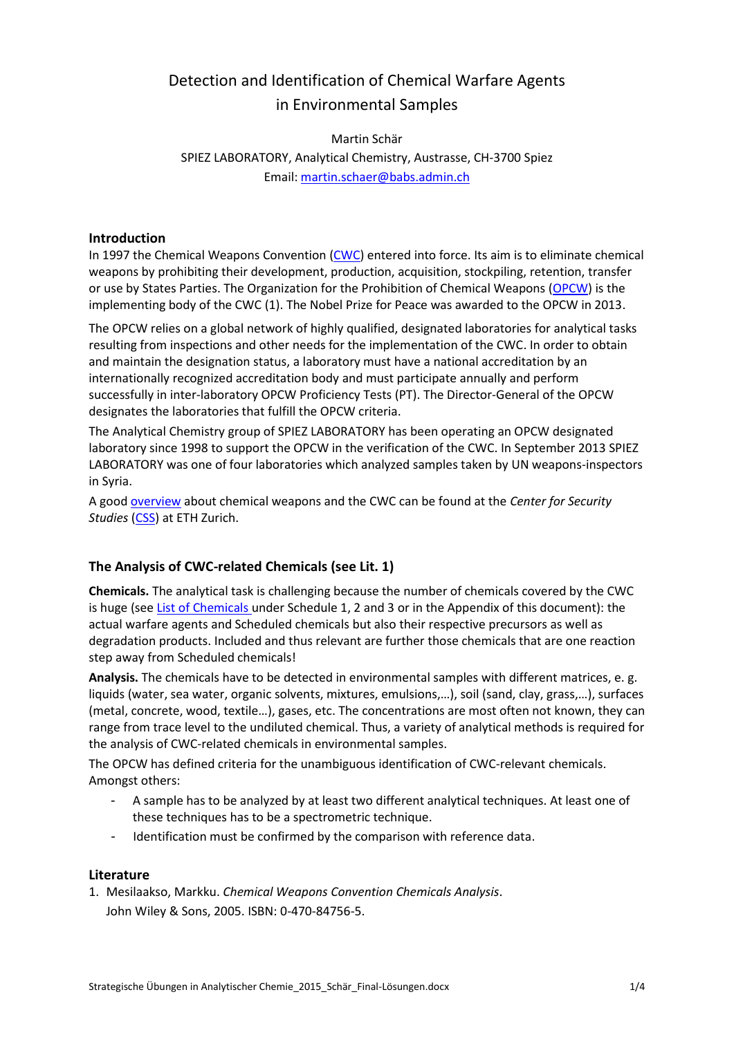# Detection and Identification of Chemical Warfare Agents in Environmental Samples

## Martin Schär SPIEZ LABORATORY, Analytical Chemistry, Austrasse, CH-3700 Spiez Email: [martin.schaer@babs.admin.ch](mailto:martin.schaer@babs.admin.ch)

## **Introduction**

In 1997 the Chemical Weapons Convention [\(CWC\)](http://www.opcw.org/chemical-weapons-convention) entered into force. Its aim is to eliminate chemical weapons by prohibiting their development, production, acquisition, stockpiling, retention, transfer or use by States Parties. The Organization for the Prohibition of Chemical Weapons [\(OPCW\)](http://www.opcw.org/) is the implementing body of the CWC (1). The Nobel Prize for Peace was awarded to the OPCW in 2013.

The OPCW relies on a global network of highly qualified, designated laboratories for analytical tasks resulting from inspections and other needs for the implementation of the CWC. In order to obtain and maintain the designation status, a laboratory must have a national accreditation by an internationally recognized accreditation body and must participate annually and perform successfully in inter-laboratory OPCW Proficiency Tests (PT). The Director-General of the OPCW designates the laboratories that fulfill the OPCW criteria.

The Analytical Chemistry group of SPIEZ LABORATORY has been operating an OPCW designated laboratory since 1998 to support the OPCW in the verification of the CWC. In September 2013 SPIEZ LABORATORY was one of four laboratories which analyzed samples taken by UN weapons-inspectors in Syria.

A good [overview](http://www.css.ethz.ch/publications/DetailansichtPubDB_EN?rec_id=2210) about chemical weapons and the CWC can be found at the *Center for Security*  **Studies** [\(CSS\)](http://www.css.ethz.ch/index_EN) at [ETH Zurich.](http://www.ethz.ch/index_EN)

## **The Analysis of CWC-related Chemicals (see Lit. 1)**

**Chemicals.** The analytical task is challenging because the number of chemicals covered by the CWC is huge (see [List of Chemicals](http://www.opcw.org/chemical-weapons-convention/annexes/annex-on-chemicals/) under Schedule 1, 2 and 3 or in the Appendix of this document): the actual warfare agents and Scheduled chemicals but also their respective precursors as well as degradation products. Included and thus relevant are further those chemicals that are one reaction step away from Scheduled chemicals!

**Analysis.** The chemicals have to be detected in environmental samples with different matrices, e. g. liquids (water, sea water, organic solvents, mixtures, emulsions,…), soil (sand, clay, grass,…), surfaces (metal, concrete, wood, textile…), gases, etc. The concentrations are most often not known, they can range from trace level to the undiluted chemical. Thus, a variety of analytical methods is required for the analysis of CWC-related chemicals in environmental samples.

The OPCW has defined criteria for the unambiguous identification of CWC-relevant chemicals. Amongst others:

- A sample has to be analyzed by at least two different analytical techniques. At least one of these techniques has to be a spectrometric technique.
- Identification must be confirmed by the comparison with reference data.

### **Literature**

1. Mesilaakso, Markku. *Chemical Weapons Convention Chemicals Analysis*. John Wiley & Sons, 2005. ISBN: 0-470-84756-5.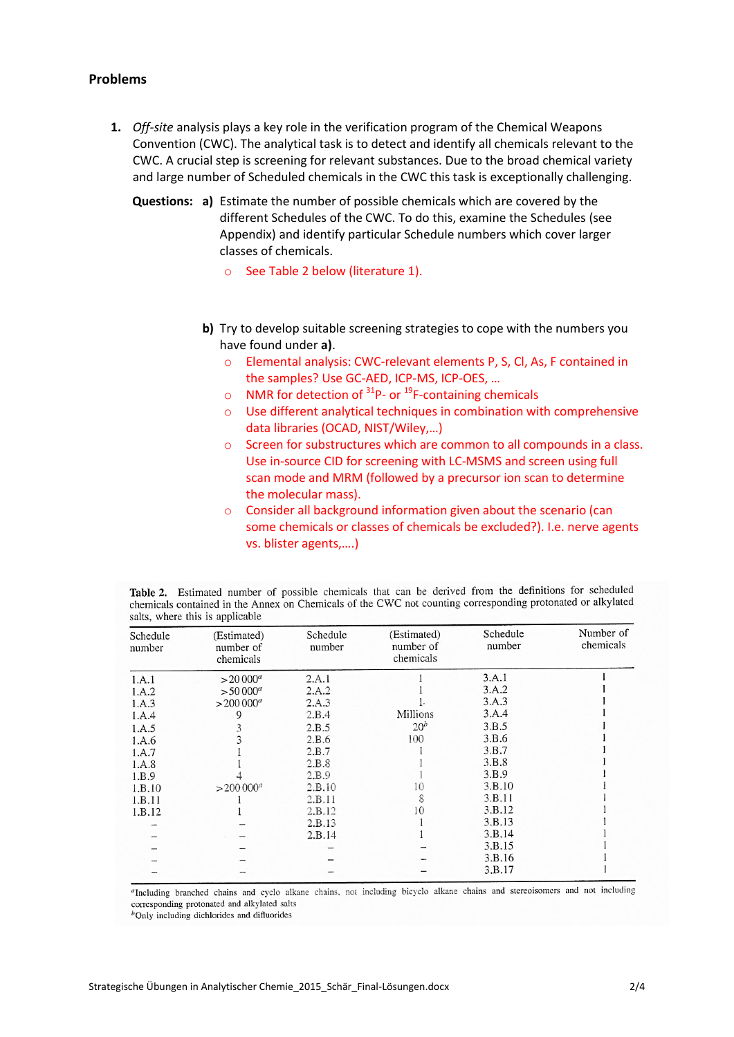#### **Problems**

- **1.** *Off-site* analysis plays a key role in the verification program of the Chemical Weapons Convention (CWC). The analytical task is to detect and identify all chemicals relevant to the CWC. A crucial step is screening for relevant substances. Due to the broad chemical variety and large number of Scheduled chemicals in the CWC this task is exceptionally challenging.
	- **Questions: a)** Estimate the number of possible chemicals which are covered by the different Schedules of the CWC. To do this, examine the Schedules (see Appendix) and identify particular Schedule numbers which cover larger classes of chemicals.
		- o See Table 2 below (literature 1).
		- **b)** Try to develop suitable screening strategies to cope with the numbers you have found under **a)**.
			- o Elemental analysis: CWC-relevant elements P, S, Cl, As, F contained in the samples? Use GC-AED, ICP-MS, ICP-OES, …
			- $\circ$  NMR for detection of <sup>31</sup>P- or <sup>19</sup>F-containing chemicals
			- o Use different analytical techniques in combination with comprehensive data libraries (OCAD, NIST/Wiley,…)
			- o Screen for substructures which are common to all compounds in a class. Use in-source CID for screening with LC-MSMS and screen using full scan mode and MRM (followed by a precursor ion scan to determine the molecular mass).
			- o Consider all background information given about the scenario (can some chemicals or classes of chemicals be excluded?). I.e. nerve agents vs. blister agents,….)

|                                 |  |  |  |  |  | Table 2. Estimated number of possible chemicals that can be derived from the definitions for scheduled      |  |
|---------------------------------|--|--|--|--|--|-------------------------------------------------------------------------------------------------------------|--|
|                                 |  |  |  |  |  | chemicals contained in the Annex on Chemicals of the CWC not counting corresponding protonated or alkylated |  |
| salts, where this is applicable |  |  |  |  |  |                                                                                                             |  |

| Schedule<br>number | (Estimated)<br>number of<br>chemicals | Schedule<br>number | (Estimated)<br>number of<br>chemicals | Schedule<br>number | Number of<br>chemicals |
|--------------------|---------------------------------------|--------------------|---------------------------------------|--------------------|------------------------|
| 1.A.1              | $> 20000^a$                           | 2.A.1              |                                       | 3.A.1              |                        |
| 1.A.2              | $> 50000^a$                           | 2.A.2              |                                       | 3.A.2              |                        |
| 1.A.3              | $>200000^a$                           | 2.A.3              |                                       | 3.A.3              |                        |
| 1.A.4              | 9                                     | 2.B.4              | Millions                              | 3.A.4              |                        |
| 1.A.5              |                                       | 2.B.5              | 20 <sup>b</sup>                       | 3.B.5              |                        |
| 1.A.6              |                                       | 2.B.6              | 100                                   | 3.B.6              |                        |
| 1.A.7              |                                       | 2.B.7              |                                       | 3.B.7              |                        |
| 1.A.8              |                                       | 2.B.8              |                                       | 3.B.8              |                        |
| 1.B.9              |                                       | 2.B.9              |                                       | 3.B.9              |                        |
| 1.B.10             | $>200000^a$                           | 2.B.10             | 10                                    | 3.B.10             |                        |
| 1.B.11             |                                       | 2.B.11             | 8                                     | 3.B.11             |                        |
| 1.B.12             |                                       | 2.B.12             | 10                                    | 3.B.12             |                        |
|                    |                                       | 2.B.13             |                                       | 3.B.13             |                        |
|                    |                                       | 2.B.14             |                                       | 3.B.14             |                        |
|                    |                                       |                    |                                       | 3.B.15             |                        |
|                    |                                       |                    |                                       | 3.B.16             |                        |
|                    |                                       |                    |                                       | 3.B.17             |                        |

"Including branched chains and cyclo alkane chains, not including bicyclo alkane chains and stereoisomers and not including corresponding protonated and alkylated salts

 $<sup>b</sup>$  Only including dichlorides and difluorides</sup>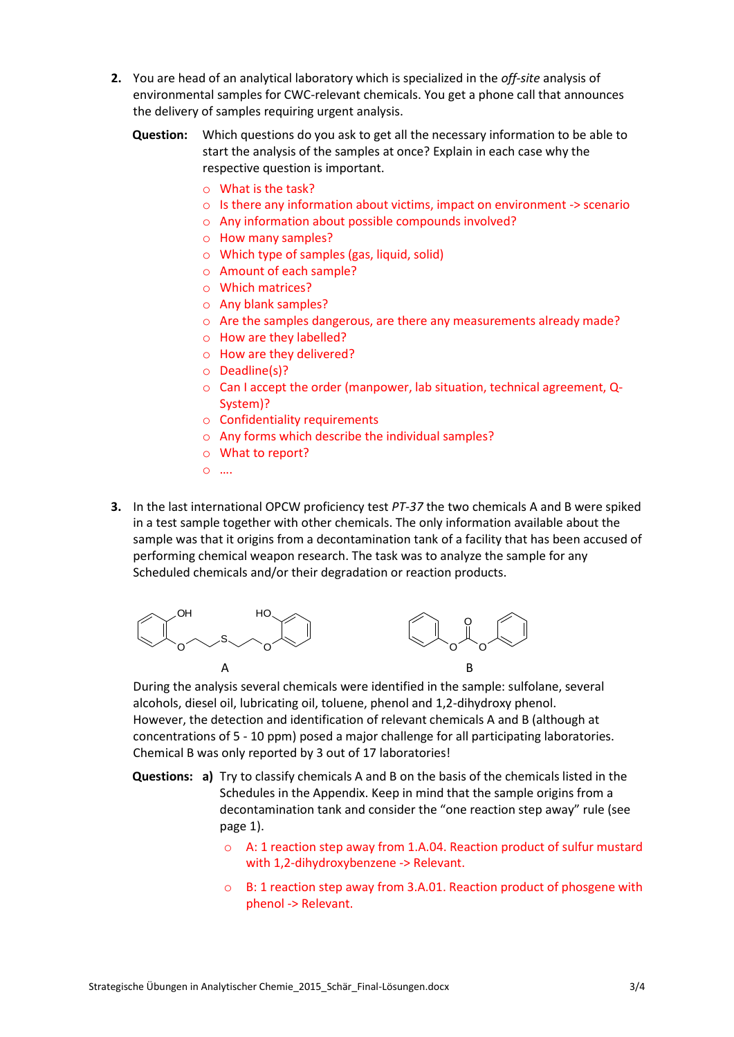- **2.** You are head of an analytical laboratory which is specialized in the *off-site* analysis of environmental samples for CWC-relevant chemicals. You get a phone call that announces the delivery of samples requiring urgent analysis.
	- **Question:** Which questions do you ask to get all the necessary information to be able to start the analysis of the samples at once? Explain in each case why the respective question is important.
		- o What is the task?
		- o Is there any information about victims, impact on environment -> scenario
		- o Any information about possible compounds involved?
		- o How many samples?
		- o Which type of samples (gas, liquid, solid)
		- o Amount of each sample?
		- o Which matrices?
		- o Any blank samples?
		- $\circ$  Are the samples dangerous, are there any measurements already made?
		- o How are they labelled?
		- o How are they delivered?
		- o Deadline(s)?
		- o Can I accept the order (manpower, lab situation, technical agreement, Q-System)?
		- o Confidentiality requirements
		- o Any forms which describe the individual samples?
		- o What to report?
		- o ….
- **3.** In the last international OPCW proficiency test *PT-37* the two chemicals A and B were spiked in a test sample together with other chemicals. The only information available about the sample was that it origins from a decontamination tank of a facility that has been accused of performing chemical weapon research. The task was to analyze the sample for any Scheduled chemicals and/or their degradation or reaction products.



During the analysis several chemicals were identified in the sample: sulfolane, several alcohols, diesel oil, lubricating oil, toluene, phenol and 1,2-dihydroxy phenol. However, the detection and identification of relevant chemicals A and B (although at concentrations of 5 - 10 ppm) posed a major challenge for all participating laboratories. Chemical B was only reported by 3 out of 17 laboratories!

- **Questions: a)** Try to classify chemicals A and B on the basis of the chemicals listed in the Schedules in the Appendix. Keep in mind that the sample origins from a decontamination tank and consider the "one reaction step away" rule (see page 1).
	- o A: 1 reaction step away from 1.A.04. Reaction product of sulfur mustard with 1,2-dihydroxybenzene -> Relevant.
	- o B: 1 reaction step away from 3.A.01. Reaction product of phosgene with phenol -> Relevant.